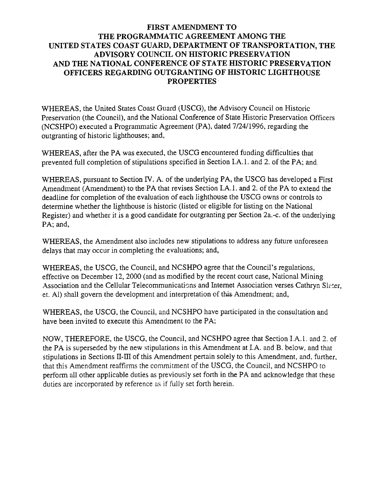### FIRST AMENDMENT TO THE PROGRAMMATIC AGREEMENT AMONG THE UNITED STATES COAST GUARD, DEPARTMENT OF TRANSPORTATION, 1'HE ADVISORY COUNCIL ON HISTORIC PRESERVATION AND THE NATIONAL CONFERENCE OF STATE HISTORIC PRESERVATION OFFICERS REGARDING OUTGRANTING OF HISTORIC LIGHTHOUSE PROPERTIES

WHEREAS, the United States Coast Guard (USCG), the Advisory Council on Historic Preservation (the Council), and the National Conference of State Historic Preservation Officers  $(NCSHPO)$  executed a Programmatic Agreement  $(PA)$ , dated  $7/24/1996$ , regarding the outgranting of historic lighthouses; and,

WHEREAS, after the PA was executed, the USCG encountered funding difficulties that prevented full completion of stipulations specified in Section I.A.1, and 2, of the PA; and,

WHEREAS, pursuant to Section IV. A. of the underlying PA, the USCG has developed a First Amendment (Amendment) to the PA that revises Section I.A.1. and 2. of the PA to extend the deadline for completion of the evaluation of each lighthouse the USCG owns or controls to determine whether the lighthouse is historic (listed or eligible for listing on the National Register) and whether it is a good candidate for outgranting per Section 2a.-c. of the underlying PA; and,

WHEREAS, the Amendment also includes new stipulations to address any future unforeseen delays that may occur in completing the evaluations; and,

WHEREAS, the USCG, the Council, and NCSHPO agree that the Council's regulations, effective on December 12, 2000 (and as modified by the recent court case, National Mining Association and the Cellular Telecommunications and Internet Association verses Cathryn Slater, et. Al) shall govern the development and interpretation of this Amendment; and,

WHEREAS, the USCG, the Council, and NCSHPO have participated in the consultation and have been invited to execute this Amendment to the PA;

NOW, THEREFORE, the USCG, the Council, and NCSHPO agree that Section I.A.i. and 2. of the PA is superseded by the new stipulations in this Amendment at I.A. and B. below, and that stipulations in Sections II-III of this Amendment pertain solely to this Amendment, and, further, that this Amendment reaffirms the commitment of the USCG, the Council, and NCSHPO to perform all other applicable duties as previously set forth in the PA and acknowledge that these duties are incorporated by reference as if fully set forth herein.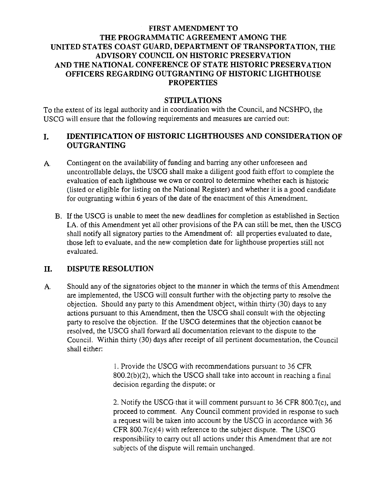#### FIRST AMENDMENT TO THE PROGRAMMATIC AGREEMENT AMONG THE UNITED STATES COAST GUARD, DEPARTMENT OF TRANSPORTATION, THE ADVISORY COUNCIL ON HISTORIC PRESERVATION AND THE NATIONAL CONFERENCE OF STATE HISTORIC PRESERVATION OFFICERS REGARDING OUTGRANTING OF HISTORIC LIGHTHOUSE **PROPERTIES**

# STIPULATIONS

To the extent of its legal authority and incoordination with the Council, and NCSHPO, the USCG will ensure that the following requirements and measures are carried out:

#### IDENTIFICATION OF HISTORIC LIGHTHOUSES AND CONSIDERATION OF **OUTGRANTING** I.

- A<sub>,</sub> Contingent on the availability of funding and barring any other unforeseen and uncontrollable delays, the USCG shall make a diligent good faith effort to complete the evaluation of each lighthouse we own or control to determine whether each is historic (listed or eligible for listing on the National Register) and whether it is a good candidate for outgranting within 6 years of the date of the enactment of this Amendment.
	- B. If the USCG is unable to meet the new deadlines for completion as established in Section I.A. of this Amendment yet all other provisions of the PA can still be met, then the USCG shall notify all signatory parties to the Amendment of: all properties evaluated to date, those left to evaluate, and the new completion date for lighthouse properties still not evaluated.

#### II. DISPUTE RESOLUTION

A. Should any of the signatories object to the manner in which the terms of this Amendment are implemented, the USCG will consult further with the objecting party to resolve the objection. Should any party to this Amendment object, within thirty (30) days to any actions pursuant to this Amendment, then the USCG shall consult with the objecting party to resolve the objection. If the USCG determines that the objection cannot be resolved, the USCG shall forward all documentation relevant to the dispute to the Council. Within thirty (30) days after receipt of all pertinent documentation, the Council shall either:

> 1. Provide the USCG with recommendations pursuant to 36 CFR  $800.2(b)(2)$ , which the USCG shall take into account in reaching a final decision regarding the dispute; or

2. Notify the USCG. that it wil] comment pursuant to 36 CFR 800.7(c), and proceed to comment. Any Council comment provided in response to such a request will be taken into account by the USCG in accordance with 36 CPR 800.7(c)(4) with reference to the subject dispute. The USCG responsibility to carry out all actions under this Amendment that are not subjects of the dispute will remain unchanged.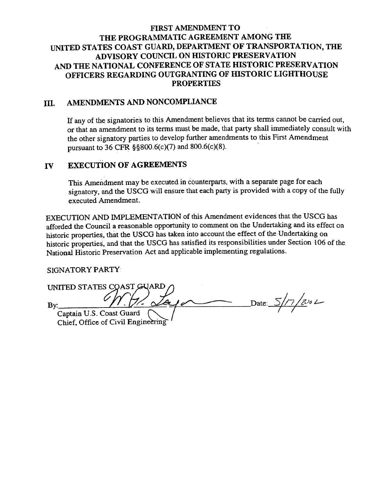# FIRST AMENDMENT TO THE PROGRAMMATIC AGREEMENT AMONG THE UNITED STATES COAST GUARD, DEPARTMENT OF TRANSPORTATION, THE ADVISORY COUNCIL ON HISTORIC PRESERVATION AND THE NATIONAL CONFERENCE OF STATE HISTORIC PRESERVATION OFFICERS REGARDING OUTGRANTING OF HISTORIC LIGHTHOUSE PROPERTIES

### III. AMENDMENTS AND NONCOMPLIANCE

If any of the signatories to this Amendment believes that its terms cannot be carried out. or that an amendment to its terms must be made, that party shall inunediately consult with the other signatory parties to develop further amendments to this First Amendment pursuant to 36 CFR §§800.6(c)(7) and 800.6(c)(8).

### IV EXECUTION OF AGREEMENTS

This Amendment may be executed in counterparts, with a separate page for each signatory, and the USCG will ensure that each party is provided with a copy of the fully executed Amendment.

EXECUTION AND IMPLEMENTATION of this Amendment evidences that the USCG has afforded the Council a reasonable opportunity to comment on the Undertakjng and its effect on historic properties. that the USCG has taken into account the effect of the Undertaking on historic properties, and that the USCG has satisfied its responsibilities under Section 106 of the National Historic Preservation Act and applicable implementing regulations.

SIGNATORY PARTY:

UNITED STATES COAST GUARD  $C_{\text{N}}$ Date:  $5/7/200$ Captain U.S. Coast Guard Chief. Office of Civil Engineering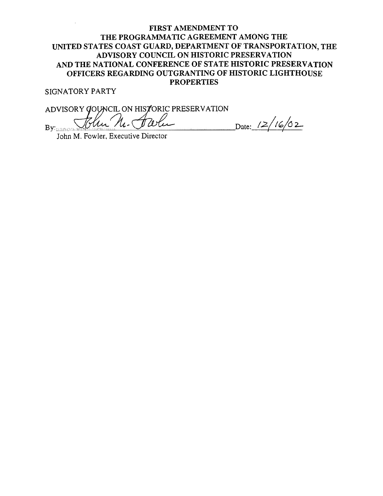#### FIRST AMENDMENT TO THE PROGRAMMATIC AGREEMENT AMONG THE UNITED STATES COAST GUARD, DEPARTMENT OF TRANSPORTATION, THE ADVISORY COUNCIL ON HISTORIC PRESERVATION AND THE NATIONAL CONFERENCE OF STATE HISTORIC PRESERVATION OFFICERS REGARDING OUTGRANTING OF HISTORIC LIGHTHOUSE PROPERTIES

SIGNATORY PARTY

ADVISORY COUNCIL ON HISTORIC PRESERVATION

By: Blu N. Awley Date: 12/16/02

John M. Fowler, Executive Director